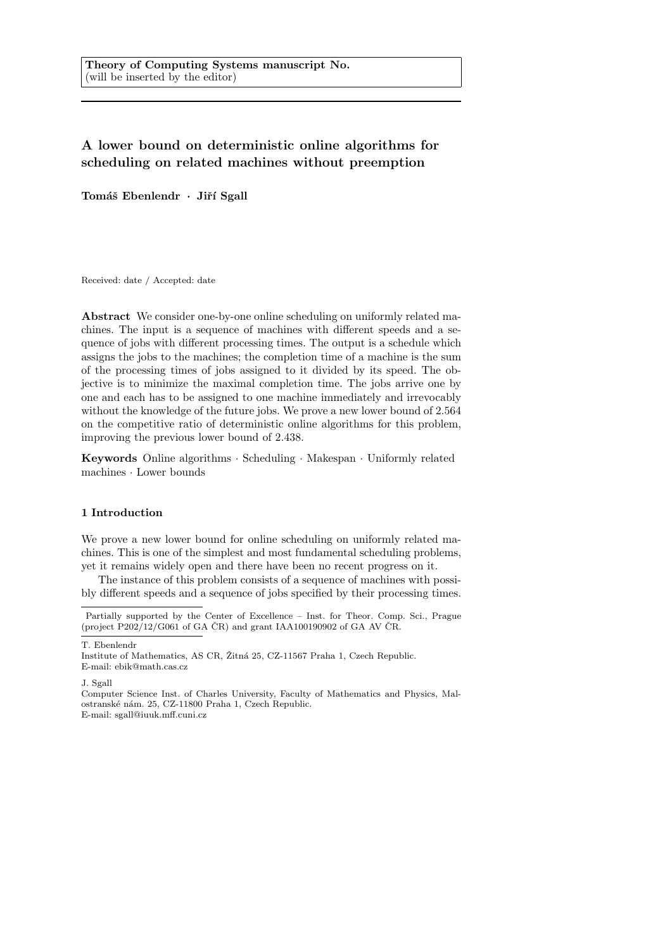# A lower bound on deterministic online algorithms for scheduling on related machines without preemption

Tomáš Ebenlendr · Jiří Sgall

Received: date / Accepted: date

Abstract We consider one-by-one online scheduling on uniformly related machines. The input is a sequence of machines with different speeds and a sequence of jobs with different processing times. The output is a schedule which assigns the jobs to the machines; the completion time of a machine is the sum of the processing times of jobs assigned to it divided by its speed. The objective is to minimize the maximal completion time. The jobs arrive one by one and each has to be assigned to one machine immediately and irrevocably without the knowledge of the future jobs. We prove a new lower bound of 2.564 on the competitive ratio of deterministic online algorithms for this problem, improving the previous lower bound of 2.438.

Keywords Online algorithms · Scheduling · Makespan · Uniformly related machines · Lower bounds

# 1 Introduction

We prove a new lower bound for online scheduling on uniformly related machines. This is one of the simplest and most fundamental scheduling problems, yet it remains widely open and there have been no recent progress on it.

The instance of this problem consists of a sequence of machines with possibly different speeds and a sequence of jobs specified by their processing times.

T. Ebenlendr

J. Sgall

Partially supported by the Center of Excellence – Inst. for Theor. Comp. Sci., Prague (project P202/12/G061 of GA ČR) and grant IAA100190902 of GA AV ČR.

Institute of Mathematics, AS CR, Žitná 25, CZ-11567 Praha 1, Czech Republic. E-mail: ebik@math.cas.cz

Computer Science Inst. of Charles University, Faculty of Mathematics and Physics, Malostranské nám. 25, CZ-11800 Praha 1, Czech Republic. E-mail: sgall@iuuk.mff.cuni.cz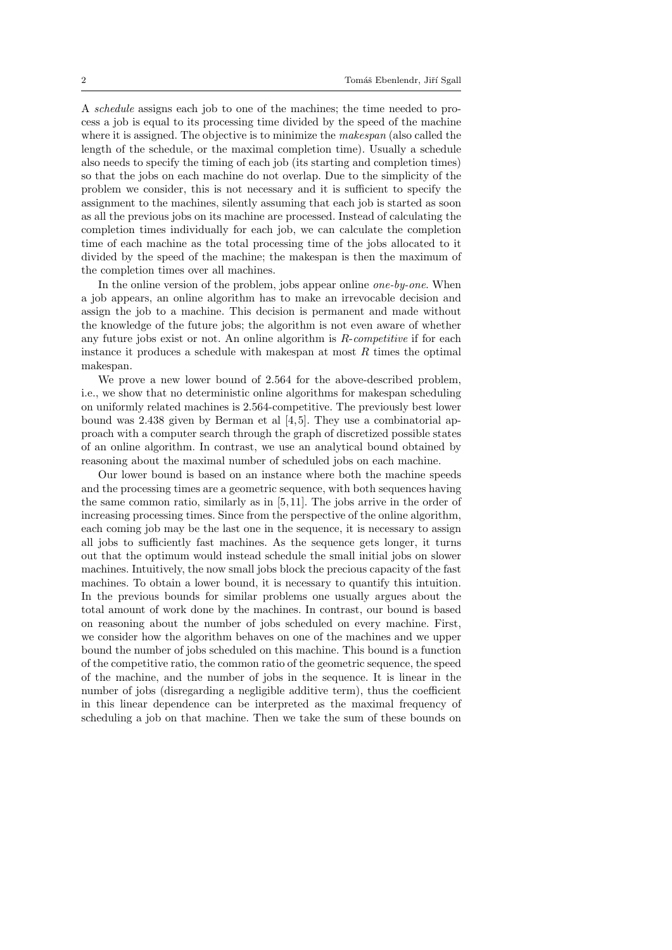A schedule assigns each job to one of the machines; the time needed to process a job is equal to its processing time divided by the speed of the machine where it is assigned. The objective is to minimize the *makespan* (also called the length of the schedule, or the maximal completion time). Usually a schedule also needs to specify the timing of each job (its starting and completion times) so that the jobs on each machine do not overlap. Due to the simplicity of the problem we consider, this is not necessary and it is sufficient to specify the assignment to the machines, silently assuming that each job is started as soon as all the previous jobs on its machine are processed. Instead of calculating the completion times individually for each job, we can calculate the completion time of each machine as the total processing time of the jobs allocated to it divided by the speed of the machine; the makespan is then the maximum of the completion times over all machines.

In the online version of the problem, jobs appear online *one-by-one*. When a job appears, an online algorithm has to make an irrevocable decision and assign the job to a machine. This decision is permanent and made without the knowledge of the future jobs; the algorithm is not even aware of whether any future jobs exist or not. An online algorithm is  $R$ -competitive if for each instance it produces a schedule with makespan at most  $R$  times the optimal makespan.

We prove a new lower bound of 2.564 for the above-described problem, i.e., we show that no deterministic online algorithms for makespan scheduling on uniformly related machines is 2.564-competitive. The previously best lower bound was  $2.438$  given by Berman et al  $[4,5]$ . They use a combinatorial approach with a computer search through the graph of discretized possible states of an online algorithm. In contrast, we use an analytical bound obtained by reasoning about the maximal number of scheduled jobs on each machine.

Our lower bound is based on an instance where both the machine speeds and the processing times are a geometric sequence, with both sequences having the same common ratio, similarly as in [5, 11]. The jobs arrive in the order of increasing processing times. Since from the perspective of the online algorithm, each coming job may be the last one in the sequence, it is necessary to assign all jobs to sufficiently fast machines. As the sequence gets longer, it turns out that the optimum would instead schedule the small initial jobs on slower machines. Intuitively, the now small jobs block the precious capacity of the fast machines. To obtain a lower bound, it is necessary to quantify this intuition. In the previous bounds for similar problems one usually argues about the total amount of work done by the machines. In contrast, our bound is based on reasoning about the number of jobs scheduled on every machine. First, we consider how the algorithm behaves on one of the machines and we upper bound the number of jobs scheduled on this machine. This bound is a function of the competitive ratio, the common ratio of the geometric sequence, the speed of the machine, and the number of jobs in the sequence. It is linear in the number of jobs (disregarding a negligible additive term), thus the coefficient in this linear dependence can be interpreted as the maximal frequency of scheduling a job on that machine. Then we take the sum of these bounds on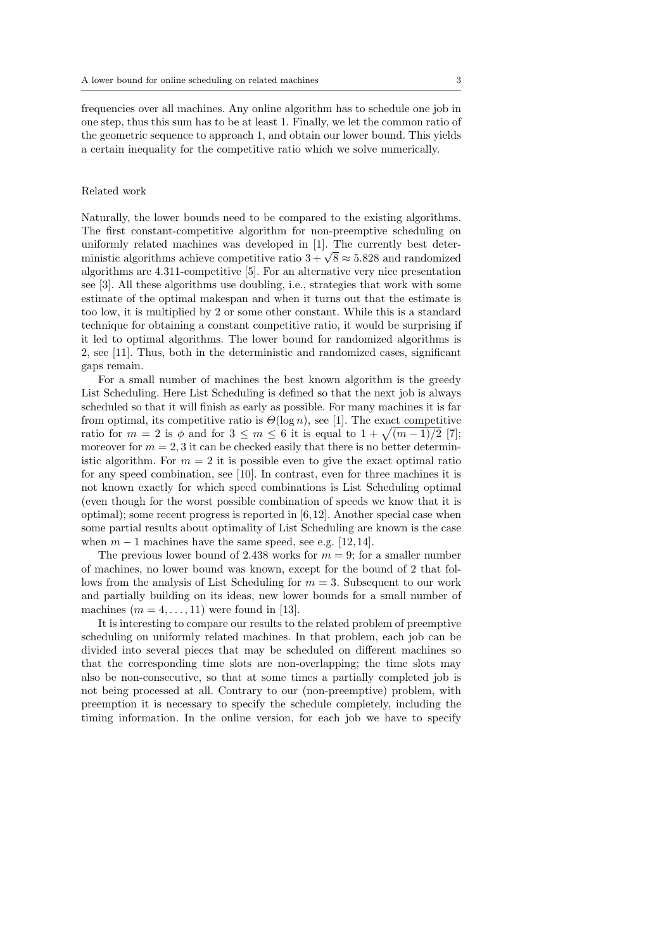frequencies over all machines. Any online algorithm has to schedule one job in one step, thus this sum has to be at least 1. Finally, we let the common ratio of the geometric sequence to approach 1, and obtain our lower bound. This yields a certain inequality for the competitive ratio which we solve numerically.

# Related work

Naturally, the lower bounds need to be compared to the existing algorithms. The first constant-competitive algorithm for non-preemptive scheduling on uniformly related machines was developed in [1]. The currently best deteruniformly related machines was developed in [1]. The currently best deter-<br>ministic algorithms achieve competitive ratio  $3 + \sqrt{8} \approx 5.828$  and randomized algorithms are 4.311-competitive [5]. For an alternative very nice presentation see [3]. All these algorithms use doubling, i.e., strategies that work with some estimate of the optimal makespan and when it turns out that the estimate is too low, it is multiplied by 2 or some other constant. While this is a standard technique for obtaining a constant competitive ratio, it would be surprising if it led to optimal algorithms. The lower bound for randomized algorithms is 2, see [11]. Thus, both in the deterministic and randomized cases, significant gaps remain.

For a small number of machines the best known algorithm is the greedy List Scheduling. Here List Scheduling is defined so that the next job is always scheduled so that it will finish as early as possible. For many machines it is far from optimal, its competitive ratio is  $\Theta(\log n)$ , see [1]. The exact competitive ratio for  $m = 2$  is  $\phi$  and for  $3 \leq m \leq 6$  it is equal to  $1 + \sqrt{(m-1)/2}$  [7]; moreover for  $m = 2, 3$  it can be checked easily that there is no better deterministic algorithm. For  $m = 2$  it is possible even to give the exact optimal ratio for any speed combination, see [10]. In contrast, even for three machines it is not known exactly for which speed combinations is List Scheduling optimal (even though for the worst possible combination of speeds we know that it is optimal); some recent progress is reported in [6, 12]. Another special case when some partial results about optimality of List Scheduling are known is the case when  $m - 1$  machines have the same speed, see e.g. [12,14].

The previous lower bound of 2.438 works for  $m = 9$ ; for a smaller number of machines, no lower bound was known, except for the bound of 2 that follows from the analysis of List Scheduling for  $m = 3$ . Subsequent to our work and partially building on its ideas, new lower bounds for a small number of machines  $(m = 4, \ldots, 11)$  were found in [13].

It is interesting to compare our results to the related problem of preemptive scheduling on uniformly related machines. In that problem, each job can be divided into several pieces that may be scheduled on different machines so that the corresponding time slots are non-overlapping; the time slots may also be non-consecutive, so that at some times a partially completed job is not being processed at all. Contrary to our (non-preemptive) problem, with preemption it is necessary to specify the schedule completely, including the timing information. In the online version, for each job we have to specify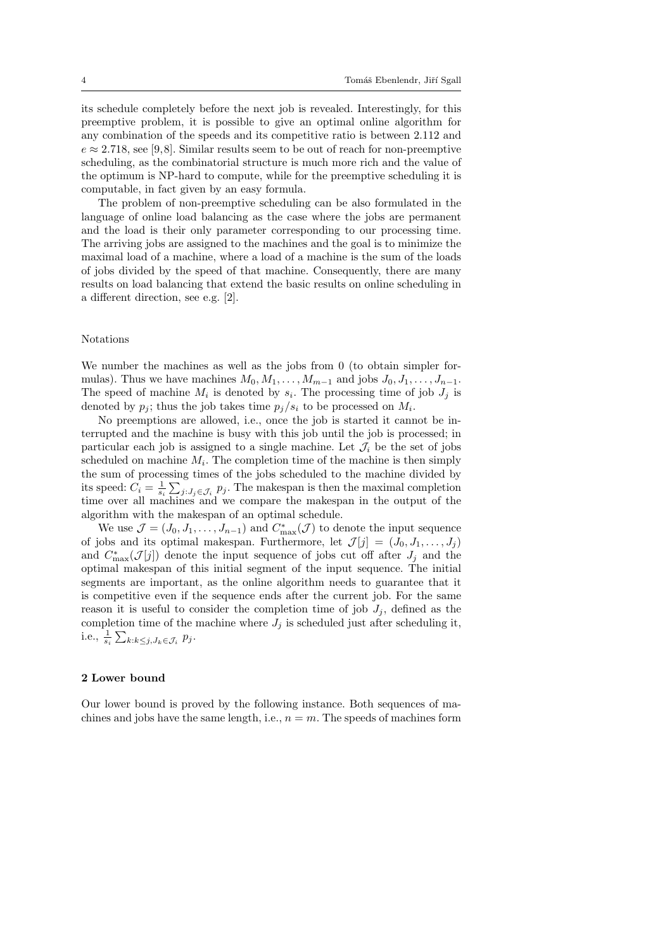its schedule completely before the next job is revealed. Interestingly, for this preemptive problem, it is possible to give an optimal online algorithm for any combination of the speeds and its competitive ratio is between 2.112 and  $e \approx 2.718$ , see [9,8]. Similar results seem to be out of reach for non-preemptive scheduling, as the combinatorial structure is much more rich and the value of the optimum is NP-hard to compute, while for the preemptive scheduling it is computable, in fact given by an easy formula.

The problem of non-preemptive scheduling can be also formulated in the language of online load balancing as the case where the jobs are permanent and the load is their only parameter corresponding to our processing time. The arriving jobs are assigned to the machines and the goal is to minimize the maximal load of a machine, where a load of a machine is the sum of the loads of jobs divided by the speed of that machine. Consequently, there are many results on load balancing that extend the basic results on online scheduling in a different direction, see e.g. [2].

#### Notations

We number the machines as well as the jobs from 0 (to obtain simpler formulas). Thus we have machines  $M_0, M_1, \ldots, M_{m-1}$  and jobs  $J_0, J_1, \ldots, J_{n-1}$ . The speed of machine  $M_i$  is denoted by  $s_i$ . The processing time of job  $J_j$  is denoted by  $p_j$ ; thus the job takes time  $p_j/s_i$  to be processed on  $M_i$ .

No preemptions are allowed, i.e., once the job is started it cannot be interrupted and the machine is busy with this job until the job is processed; in particular each job is assigned to a single machine. Let  $\mathcal{J}_i$  be the set of jobs scheduled on machine  $M_i$ . The completion time of the machine is then simply the sum of processing times of the jobs scheduled to the machine divided by its speed:  $C_i = \frac{1}{s_i} \sum_{j: J_j \in \mathcal{J}_i} p_j$ . The makespan is then the maximal completion time over all machines and we compare the makespan in the output of the algorithm with the makespan of an optimal schedule.

We use  $\mathcal{J} = (J_0, J_1, \dots, J_{n-1})$  and  $C^*_{\text{max}}(\mathcal{J})$  to denote the input sequence of jobs and its optimal makespan. Furthermore, let  $\mathcal{J}[j] = (J_0, J_1, \ldots, J_j)$ and  $C_{\text{max}}^*(\mathcal{J}[j])$  denote the input sequence of jobs cut off after  $J_j$  and the optimal makespan of this initial segment of the input sequence. The initial segments are important, as the online algorithm needs to guarantee that it is competitive even if the sequence ends after the current job. For the same reason it is useful to consider the completion time of job  $J_j$ , defined as the completion time of the machine where  $J_i$  is scheduled just after scheduling it, i.e.,  $\frac{1}{s_i} \sum_{k:k \leq j, J_k \in \mathcal{J}_i} p_j$ .

## 2 Lower bound

Our lower bound is proved by the following instance. Both sequences of machines and jobs have the same length, i.e.,  $n = m$ . The speeds of machines form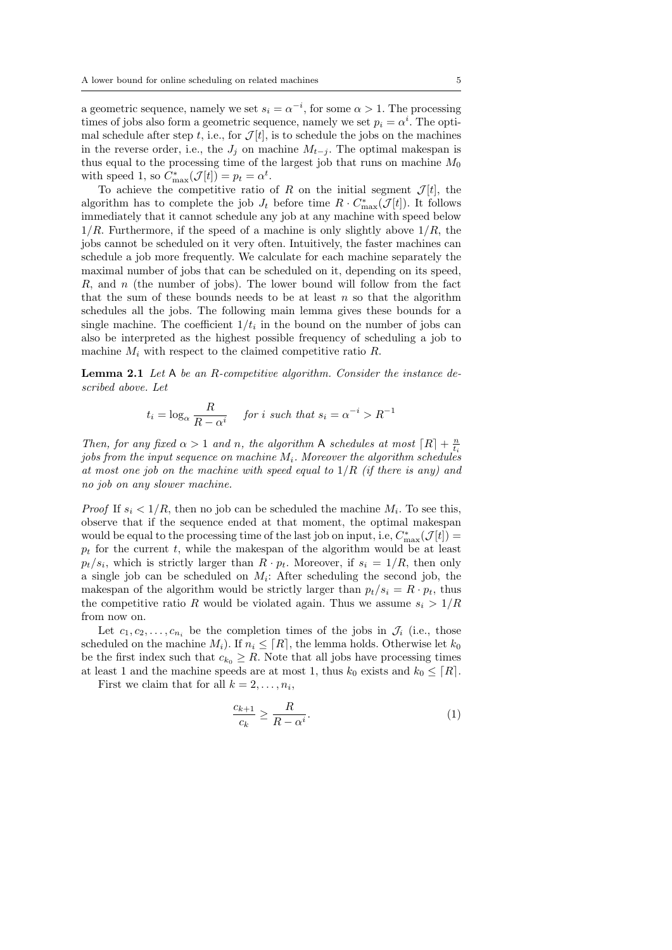a geometric sequence, namely we set  $s_i = \alpha^{-i}$ , for some  $\alpha > 1$ . The processing times of jobs also form a geometric sequence, namely we set  $p_i = \alpha^i$ . The optimal schedule after step t, i.e., for  $\mathcal{J}[t]$ , is to schedule the jobs on the machines in the reverse order, i.e., the  $J_j$  on machine  $M_{t-j}$ . The optimal makespan is thus equal to the processing time of the largest job that runs on machine  $M_0$ with speed 1, so  $C_{\text{max}}^*(\mathcal{J}[t]) = p_t = \alpha^t$ .

To achieve the competitive ratio of R on the initial segment  $\mathcal{J}[t]$ , the algorithm has to complete the job  $J_t$  before time  $R \cdot C_{\text{max}}^*(\mathcal{J}[t])$ . It follows immediately that it cannot schedule any job at any machine with speed below  $1/R$ . Furthermore, if the speed of a machine is only slightly above  $1/R$ , the jobs cannot be scheduled on it very often. Intuitively, the faster machines can schedule a job more frequently. We calculate for each machine separately the maximal number of jobs that can be scheduled on it, depending on its speed,  $R$ , and  $n$  (the number of jobs). The lower bound will follow from the fact that the sum of these bounds needs to be at least  $n$  so that the algorithm schedules all the jobs. The following main lemma gives these bounds for a single machine. The coefficient  $1/t_i$  in the bound on the number of jobs can also be interpreted as the highest possible frequency of scheduling a job to machine  $M_i$  with respect to the claimed competitive ratio  $R$ .

Lemma 2.1 Let A be an R-competitive algorithm. Consider the instance described above. Let

$$
t_i = \log_{\alpha} \frac{R}{R - \alpha^i}
$$
 for i such that  $s_i = \alpha^{-i} > R^{-1}$ 

Then, for any fixed  $\alpha > 1$  and n, the algorithm A schedules at most  $\lceil R \rceil + \frac{n}{t_i}$ jobs from the input sequence on machine  $M_i$ . Moreover the algorithm schedules at most one job on the machine with speed equal to  $1/R$  (if there is any) and no job on any slower machine.

*Proof* If  $s_i < 1/R$ , then no job can be scheduled the machine  $M_i$ . To see this, observe that if the sequence ended at that moment, the optimal makespan would be equal to the processing time of the last job on input, i.e,  $C^*_{\text{max}}(\mathcal{J}[t]) =$  $p_t$  for the current t, while the makespan of the algorithm would be at least  $p_t/s_i$ , which is strictly larger than  $R \cdot p_t$ . Moreover, if  $s_i = 1/R$ , then only a single job can be scheduled on  $M_i$ : After scheduling the second job, the makespan of the algorithm would be strictly larger than  $p_t/s_i = R \cdot p_t$ , thus the competitive ratio R would be violated again. Thus we assume  $s_i > 1/R$ from now on.

Let  $c_1, c_2, \ldots, c_{n_i}$  be the completion times of the jobs in  $\mathcal{J}_i$  (i.e., those scheduled on the machine  $M_i$ ). If  $n_i \leq [R]$ , the lemma holds. Otherwise let  $k_0$ be the first index such that  $c_{k_0} \geq R$ . Note that all jobs have processing times at least 1 and the machine speeds are at most 1, thus  $k_0$  exists and  $k_0 \leq [R]$ .

First we claim that for all  $k = 2, \ldots, n_i$ ,

$$
\frac{c_{k+1}}{c_k} \ge \frac{R}{R - \alpha^i}.\tag{1}
$$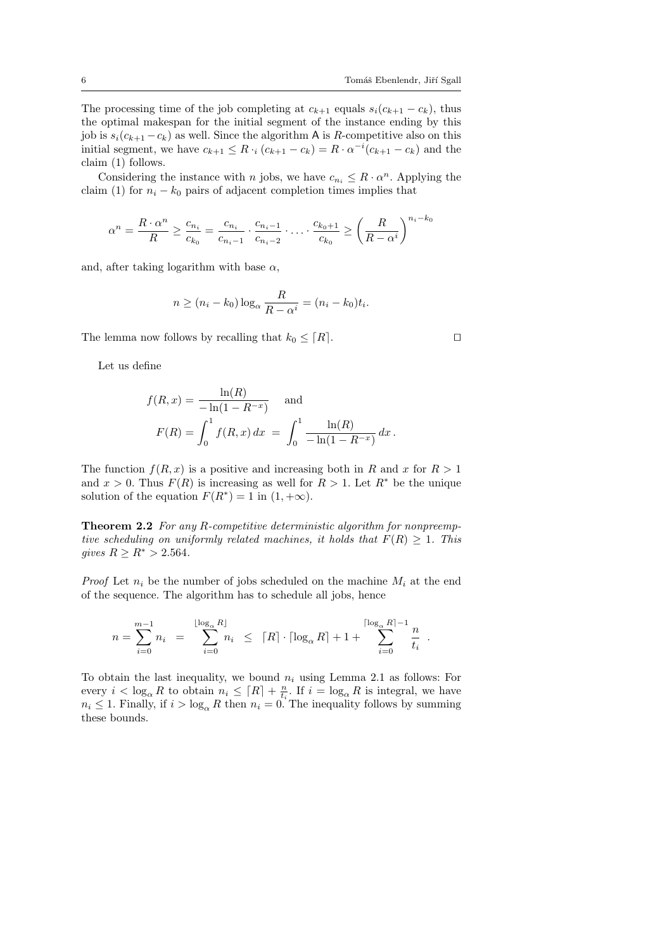The processing time of the job completing at  $c_{k+1}$  equals  $s_i(c_{k+1} - c_k)$ , thus the optimal makespan for the initial segment of the instance ending by this job is  $s_i(c_{k+1} - c_k)$  as well. Since the algorithm A is R-competitive also on this initial segment, we have  $c_{k+1} \leq R \cdot_i (c_{k+1} - c_k) = R \cdot \alpha^{-i} (c_{k+1} - c_k)$  and the claim (1) follows.

Considering the instance with *n* jobs, we have  $c_{n_i} \leq R \cdot \alpha^n$ . Applying the claim (1) for  $n_i - k_0$  pairs of adjacent completion times implies that

$$
\alpha^{n} = \frac{R \cdot \alpha^{n}}{R} \ge \frac{c_{n_{i}}}{c_{k_{0}}} = \frac{c_{n_{i}}}{c_{n_{i}-1}} \cdot \frac{c_{n_{i}-1}}{c_{n_{i}-2}} \cdot \ldots \cdot \frac{c_{k_{0}+1}}{c_{k_{0}}} \ge \left(\frac{R}{R - \alpha^{i}}\right)^{n_{i}-k_{0}}
$$

and, after taking logarithm with base  $\alpha$ ,

$$
n \ge (n_i - k_0) \log_{\alpha} \frac{R}{R - \alpha^i} = (n_i - k_0)t_i.
$$

The lemma now follows by recalling that  $k_0 \leq [R]$ .

Let us define

$$
f(R, x) = \frac{\ln(R)}{-\ln(1 - R^{-x})} \quad \text{and}
$$

$$
F(R) = \int_0^1 f(R, x) dx = \int_0^1 \frac{\ln(R)}{-\ln(1 - R^{-x})} dx.
$$

The function  $f(R, x)$  is a positive and increasing both in R and x for  $R > 1$ and  $x > 0$ . Thus  $F(R)$  is increasing as well for  $R > 1$ . Let  $R^*$  be the unique solution of the equation  $F(R^*) = 1$  in  $(1, +\infty)$ .

Theorem 2.2 For any R-competitive deterministic algorithm for nonpreemptive scheduling on uniformly related machines, it holds that  $F(R) \geq 1$ . This gives  $R \ge R^* > 2.564$ .

*Proof* Let  $n_i$  be the number of jobs scheduled on the machine  $M_i$  at the end of the sequence. The algorithm has to schedule all jobs, hence

$$
n = \sum_{i=0}^{m-1} n_i = \sum_{i=0}^{\lfloor \log_{\alpha} R \rfloor} n_i \leq \lceil R \rceil \cdot \lceil \log_{\alpha} R \rceil + 1 + \sum_{i=0}^{\lceil \log_{\alpha} R \rceil - 1} \frac{n}{t_i}.
$$

To obtain the last inequality, we bound  $n_i$  using Lemma 2.1 as follows: For every  $i < \log_{\alpha} R$  to obtain  $n_i \leq [R] + \frac{n}{t_i}$ . If  $i = \log_{\alpha} R$  is integral, we have  $n_i \leq 1$ . Finally, if  $i > \log_{\alpha} R$  then  $n_i = 0$ . The inequality follows by summing these bounds.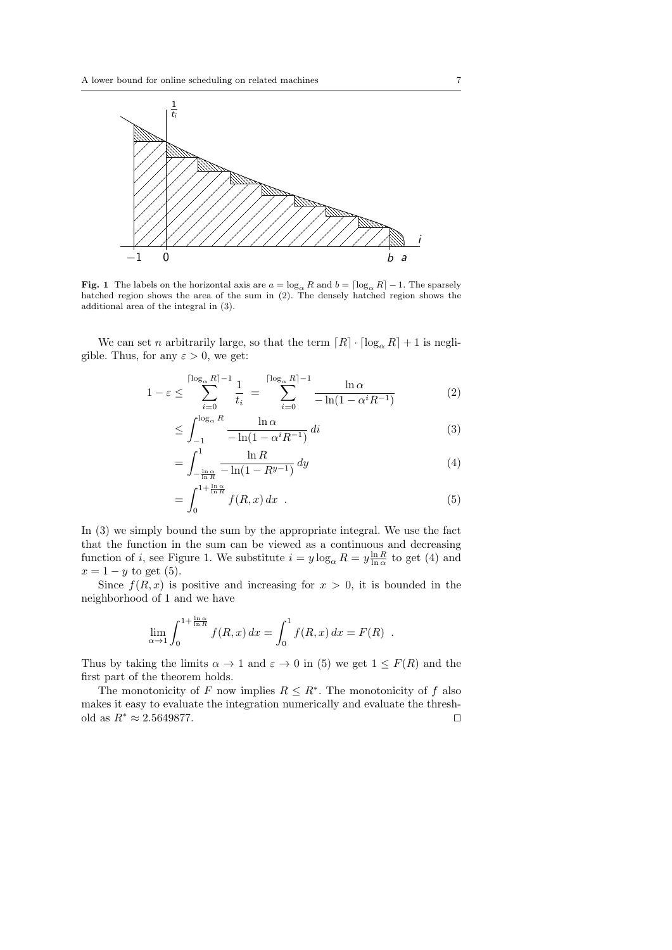

**Fig. 1** The labels on the horizontal axis are  $a = \log_{\alpha} R$  and  $b = \lceil \log_{\alpha} R \rceil - 1$ . The sparsely hatched region shows the area of the sum in (2). The densely hatched region shows the additional area of the integral in (3).

We can set n arbitrarily large, so that the term  $\lceil R \rceil \cdot \lceil \log_{\alpha} R \rceil + 1$  is negligible. Thus, for any  $\varepsilon > 0$ , we get:

$$
1 - \varepsilon \le \sum_{i=0}^{\lceil \log_{\alpha} R \rceil - 1} \frac{1}{t_i} = \sum_{i=0}^{\lceil \log_{\alpha} R \rceil - 1} \frac{\ln \alpha}{-\ln(1 - \alpha^i R^{-1})}
$$
(2)

$$
\leq \int_{-1}^{\log_{\alpha} R} \frac{\ln \alpha}{-\ln(1 - \alpha^{i} R^{-1})} di \tag{3}
$$

$$
= \int_{-\frac{\ln \alpha}{\ln R}}^{1} \frac{\ln R}{-\ln(1 - R^{y-1})} \, dy \tag{4}
$$

$$
= \int_0^{1 + \frac{\ln \alpha}{\ln R}} f(R, x) \, dx \quad . \tag{5}
$$

In (3) we simply bound the sum by the appropriate integral. We use the fact that the function in the sum can be viewed as a continuous and decreasing function of *i*, see Figure 1. We substitute  $i = y \log_{\alpha} R = y \frac{\ln R}{\ln \alpha}$  to get (4) and  $x = 1 - y$  to get (5).

Since  $f(R, x)$  is positive and increasing for  $x > 0$ , it is bounded in the neighborhood of 1 and we have

$$
\lim_{\alpha \to 1} \int_0^{1 + \frac{\ln \alpha}{\ln R}} f(R, x) dx = \int_0^1 f(R, x) dx = F(R) .
$$

Thus by taking the limits  $\alpha \to 1$  and  $\varepsilon \to 0$  in (5) we get  $1 \leq F(R)$  and the first part of the theorem holds.

The monotonicity of F now implies  $R \leq R^*$ . The monotonicity of f also makes it easy to evaluate the integration numerically and evaluate the threshold as  $R^* \approx 2.5649877$ .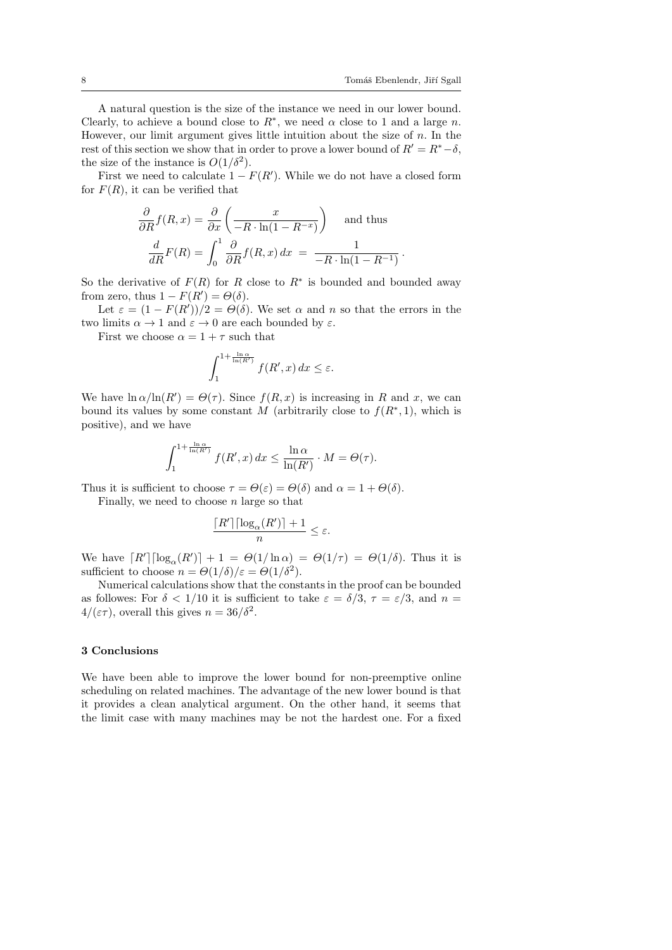A natural question is the size of the instance we need in our lower bound. Clearly, to achieve a bound close to  $R^*$ , we need  $\alpha$  close to 1 and a large n. However, our limit argument gives little intuition about the size of  $n$ . In the rest of this section we show that in order to prove a lower bound of  $R' = R^* - \delta$ , the size of the instance is  $O(1/\delta^2)$ .

First we need to calculate  $1 - F(R')$ . While we do not have a closed form for  $F(R)$ , it can be verified that

$$
\frac{\partial}{\partial R} f(R, x) = \frac{\partial}{\partial x} \left( \frac{x}{-R \cdot \ln(1 - R^{-x})} \right) \quad \text{and thus}
$$

$$
\frac{d}{dR} F(R) = \int_0^1 \frac{\partial}{\partial R} f(R, x) dx = \frac{1}{-R \cdot \ln(1 - R^{-1})}.
$$

So the derivative of  $F(R)$  for R close to  $R^*$  is bounded and bounded away from zero, thus  $1 - F(R') = \Theta(\delta)$ .

Let  $\varepsilon = (1 - F(R'))/2 = \Theta(\delta)$ . We set  $\alpha$  and  $n$  so that the errors in the two limits  $\alpha \to 1$  and  $\varepsilon \to 0$  are each bounded by  $\varepsilon$ .

First we choose  $\alpha = 1 + \tau$  such that

$$
\int_{1}^{1+\frac{\ln \alpha}{\ln(R')}} f(R',x) \, dx \leq \varepsilon.
$$

We have  $\ln \alpha / \ln(R') = \Theta(\tau)$ . Since  $f(R, x)$  is increasing in R and x, we can bound its values by some constant M (arbitrarily close to  $f(R^*, 1)$ , which is positive), and we have

$$
\int_{1}^{1+\frac{\ln \alpha}{\ln(R')}} f(R',x) dx \leq \frac{\ln \alpha}{\ln(R')} \cdot M = \Theta(\tau).
$$

Thus it is sufficient to choose  $\tau = \Theta(\varepsilon) = \Theta(\delta)$  and  $\alpha = 1 + \Theta(\delta)$ .

Finally, we need to choose  $n$  large so that

$$
\frac{\lceil R' \rceil \lceil \log_{\alpha}(R') \rceil + 1}{n} \le \varepsilon.
$$

We have  $[R'] [\log_{\alpha}(R')] + 1 = \Theta(1/\ln \alpha) = \Theta(1/\tau) = \Theta(1/\delta)$ . Thus it is sufficient to choose  $n = \Theta(1/\delta)/\varepsilon = \Theta(1/\delta^2)$ .

Numerical calculations show that the constants in the proof can be bounded as followes: For  $\delta < 1/10$  it is sufficient to take  $\varepsilon = \delta/3$ ,  $\tau = \varepsilon/3$ , and  $n =$  $4/(\varepsilon\tau)$ , overall this gives  $n = 36/\delta^2$ .

# 3 Conclusions

We have been able to improve the lower bound for non-preemptive online scheduling on related machines. The advantage of the new lower bound is that it provides a clean analytical argument. On the other hand, it seems that the limit case with many machines may be not the hardest one. For a fixed